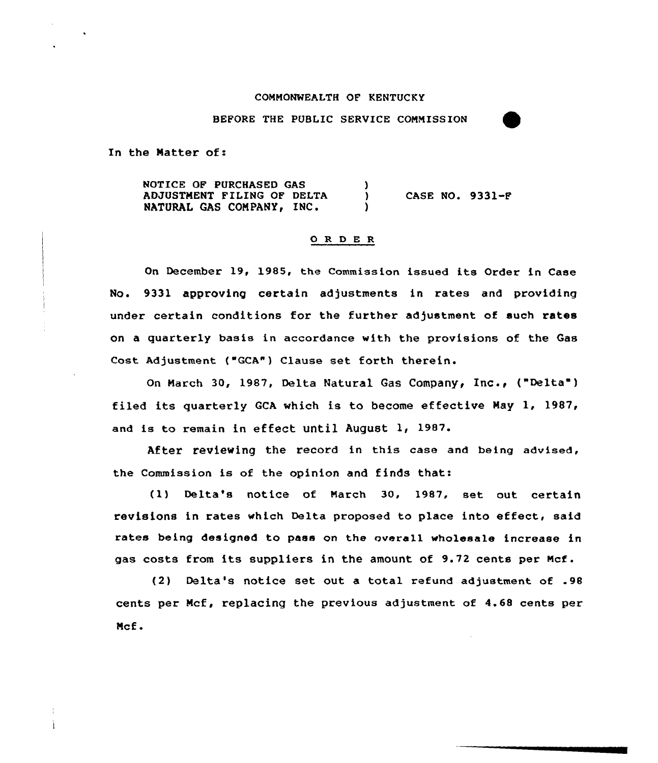## COMMONWEALTH OF KENTUCKY

BEFORE THE PUBLIC SERVICE COMMISSION

In the Matter of:

NOTICE OF PURCHASED GAS ١. ADJUSTMENT FILING OF DELTA CASE NO. 9331-F  $\lambda$ NATURAL GAS COMPANY, INC.  $\lambda$ 

## 0 R 0 E R

On December 19< 1985, the Commission issued its Order in Case No. 9331 approving certain adjustments in rates and providing under certain conditions for the further adjustment of such rates on a quarterly basis in accoxdance with the provisions of the Gas Cost Adjustment ("GCA") Clause set forth therein.

On March 30, 1987, Delta Natural Gas Company, Inc., ("Delta") filed its quarterly GCA which is to become effective May 1, 1987, and is to remain in effect until August 1, 1987.

After reviewing the record in this case and being advised, the Commission is of the opinion and finds that:

(1} Delta's notice of March 30, 1987, set out certain revisions in rates which Delta proposed to place into effect, said rates being designed to pass on the overall wholesale increase in gas costs from its suppliers in the amount of 9.72 cents per Mcf.

(2) Delta's notice set out a total refund adjustment of .98 cents per Mcf, replacing the previous adjustment of 4.68 cents per Mcf.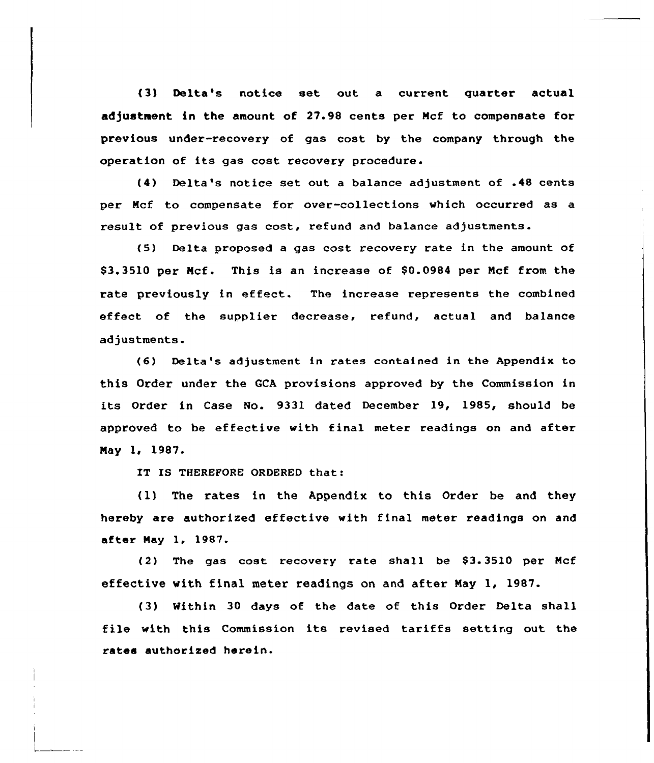(3) Delta's notice set out a current quarter actual adjustwwent in the amount of 27.98 cents per Ncf to compensate for previous under-recovery of gas cost by the company through the operation of its gas cost recovery procedure.

(4) Delta's notice set out a balance adjustment of .48 cents per Mcf to compensate fox over-collections which occurred as a result of previous gas cost, refund and balance adjustments.

(5) Delta proposed a gas cost recovery rate in the amount of \$3.3510 per Mcf. This is an increase of \$0.0984 per Mcf from the rate previously in effect. The increase represents the combined effect of the supplier decrease, refund, actual and balance adjustments.

(6) Delta's adjustment in rates contained in the Appendix to this Order undex the CCA provisions approved by the Commission in its Order in Case No. 9331 dated December 19, 1985, should be approved to be effective with final meter readings on and after Nay 1, 1987.

IT IS THEREFORE ORDERED that:

(1) The rates in the Appendix to this Order be and they hereby are authorized effective with final meter readings on and aftex Nay 1, 1987.

 $(2)$  The gas cost recovery rate shall be \$3.3510 per Mcf effective with final meter readings on and after Nay 1, 1987.

{3) Within 30 days of the date of this Order Delta shall file with this Commission its revised tariffs setting out the rates authorized herein.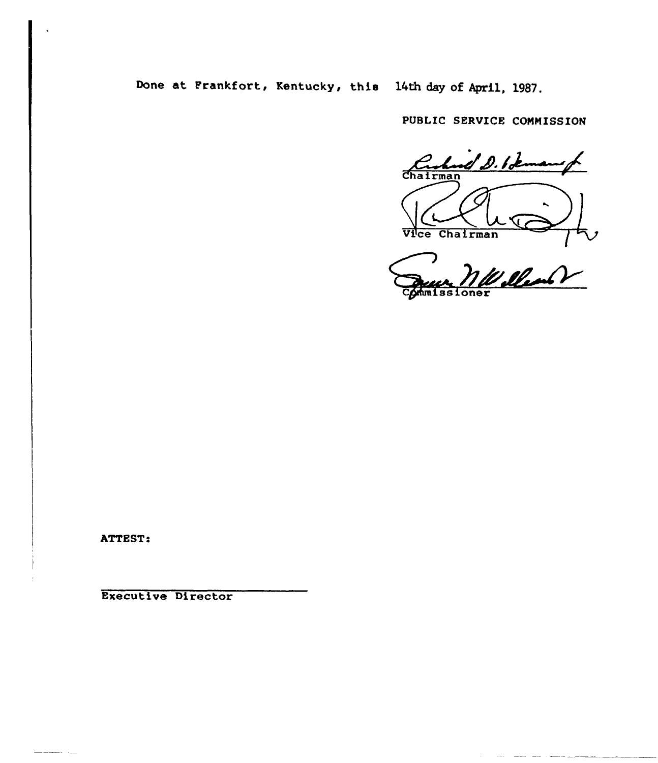Done at Prankfort, Kentucky, this 14th day of April, 1987.

PUBLIC SERVICE COMMISSION

Cashood D. Ideman K,  $\downarrow$ Vice Chairman /

Deces. 1100

ATTEST!

20 Julie

Executive Director